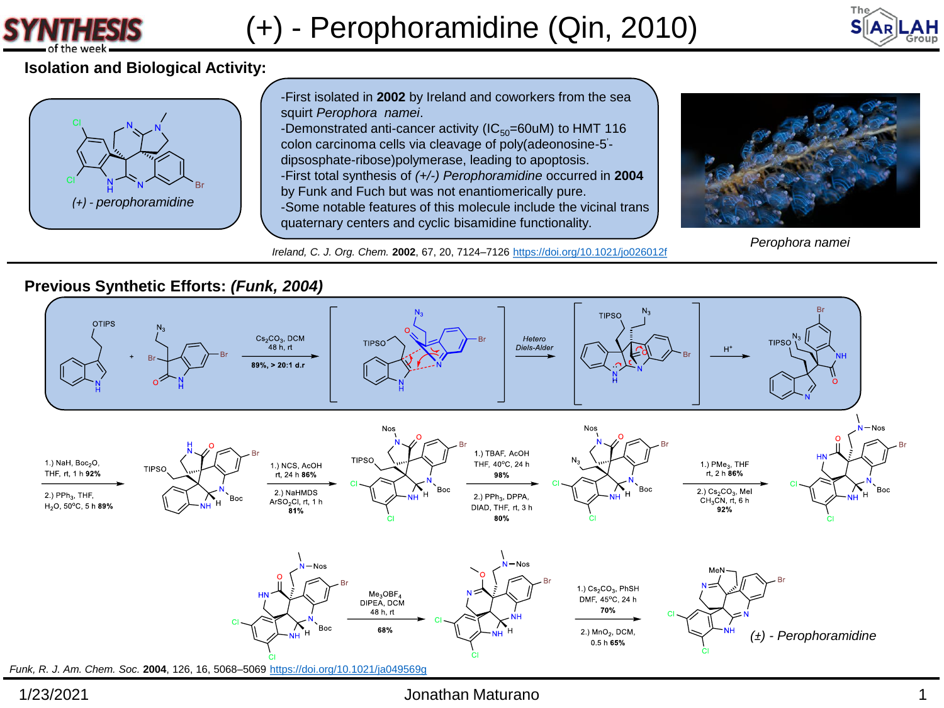



# **Isolation and Biological Activity:**



-First isolated in **2002** by Ireland and coworkers from the sea squirt *Perophora namei*. -Demonstrated anti-cancer activity ( $IC_{50}$ =60uM) to HMT 116 colon carcinoma cells via cleavage of poly(adeonosine-5 ' dipsosphate-ribose)polymerase, leading to apoptosis. -First total synthesis of *(+/-) Perophoramidine* occurred in **2004** by Funk and Fuch but was not enantiomerically pure. -Some notable features of this molecule include the vicinal trans quaternary centers and cyclic bisamidine functionality.

*Ireland, C. J. Org. Chem.* **2002**, 67, 20, 7124–7126 <https://doi.org/10.1021/jo026012f>



*Perophora namei*

# **Previous Synthetic Efforts:** *(Funk, 2004)*



### 1/23/2021 Jonathan Maturano 1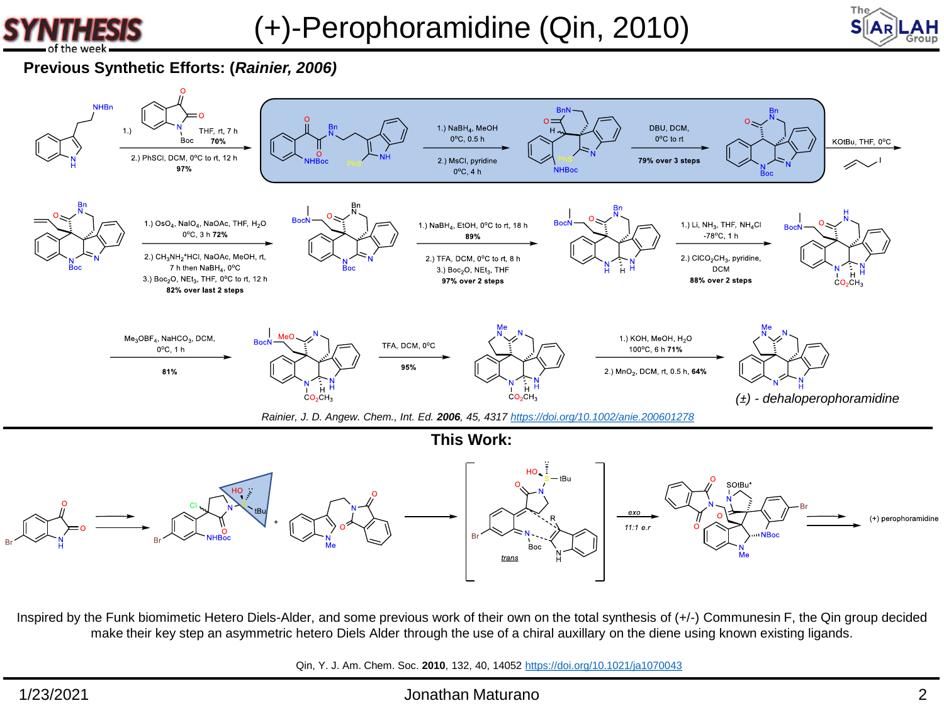



## **Previous Synthetic Efforts: (***Rainier, 2006)*



Inspired by the Funk biomimetic Hetero Diels-Alder, and some previous work of their own on the total synthesis of (+/-) Communesin F, the Qin group decided make their key step an asymmetric hetero Diels Alder through the use of a chiral auxillary on the diene using known existing ligands.

Qin, Y. J. Am. Chem. Soc. **2010**, 132, 40, 14052 <https://doi.org/10.1021/ja1070043>

### 1/23/2021 Jonathan Maturano 2